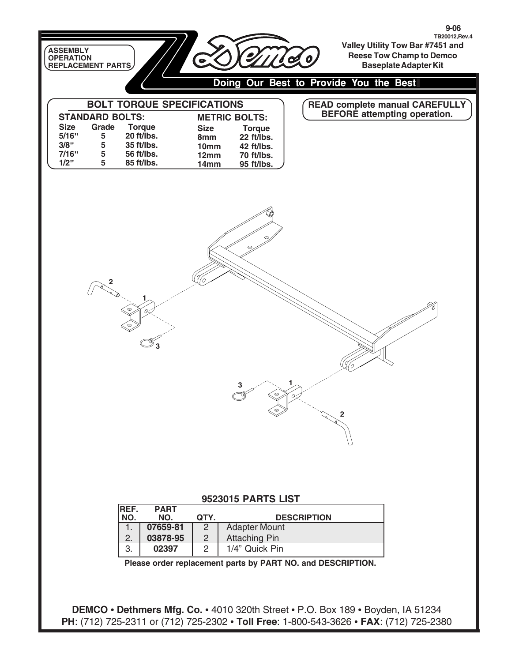| ASSEMBLY<br>OPERATION<br>REPLACEMENT PARTS                                                                         |                                                                                                            |                                            |                                                                                               |          | $9 - 06$<br>TB20012, Rev. 4<br>Valley Utility Tow Bar #7451 and<br><b>Reese Tow Champ to Demco</b><br><b>Baseplate Adapter Kit</b> |  |  |  |
|--------------------------------------------------------------------------------------------------------------------|------------------------------------------------------------------------------------------------------------|--------------------------------------------|-----------------------------------------------------------------------------------------------|----------|------------------------------------------------------------------------------------------------------------------------------------|--|--|--|
| Doing Our Best to Provide You the Best                                                                             |                                                                                                            |                                            |                                                                                               |          |                                                                                                                                    |  |  |  |
| <b>STANDARD BOLTS:</b><br>Grade<br><b>Size</b><br>5/16"<br>5<br>3/8"<br>$5\phantom{.0}$<br>7/16"<br>5<br>1/2"<br>5 | <b>BOLT TORQUE SPECIFICATIONS</b><br><b>Torque</b><br>20 ft/lbs.<br>35 ft/lbs.<br>56 ft/lbs.<br>85 ft/lbs. | <b>Size</b><br>8mm<br>10mm<br>12mm<br>14mm | <b>METRIC BOLTS:</b><br><b>Torque</b><br>22 ft/lbs.<br>42 ft/lbs.<br>70 ft/lbs.<br>95 ft/lbs. |          | READ complete manual CAREFULLY<br>BEFORE attempting operation.                                                                     |  |  |  |
|                                                                                                                    | Ô<                                                                                                         |                                            | 3<br>P                                                                                        | $\alpha$ | 2                                                                                                                                  |  |  |  |

## **9523015 PARTS LIST**

| <b>REF.</b> | <b>PART</b><br>NO. | QTY. | <b>DESCRIPTION</b>   |
|-------------|--------------------|------|----------------------|
|             | 07659-81           |      | <b>Adapter Mount</b> |
|             | 03878-95           |      | <b>Attaching Pin</b> |
|             | 02397              |      | 1/4" Quick Pin       |

**Please order replacement parts by PART NO. and DESCRIPTION.**

**DEMCO • Dethmers Mfg. Co. •** 4010 320th Street **•** P.O. Box 189 **•** Boyden, IA 51234 **PH**: (712) 725-2311 or (712) 725-2302 **• Toll Free**: 1-800-543-3626 **• FAX**: (712) 725-2380